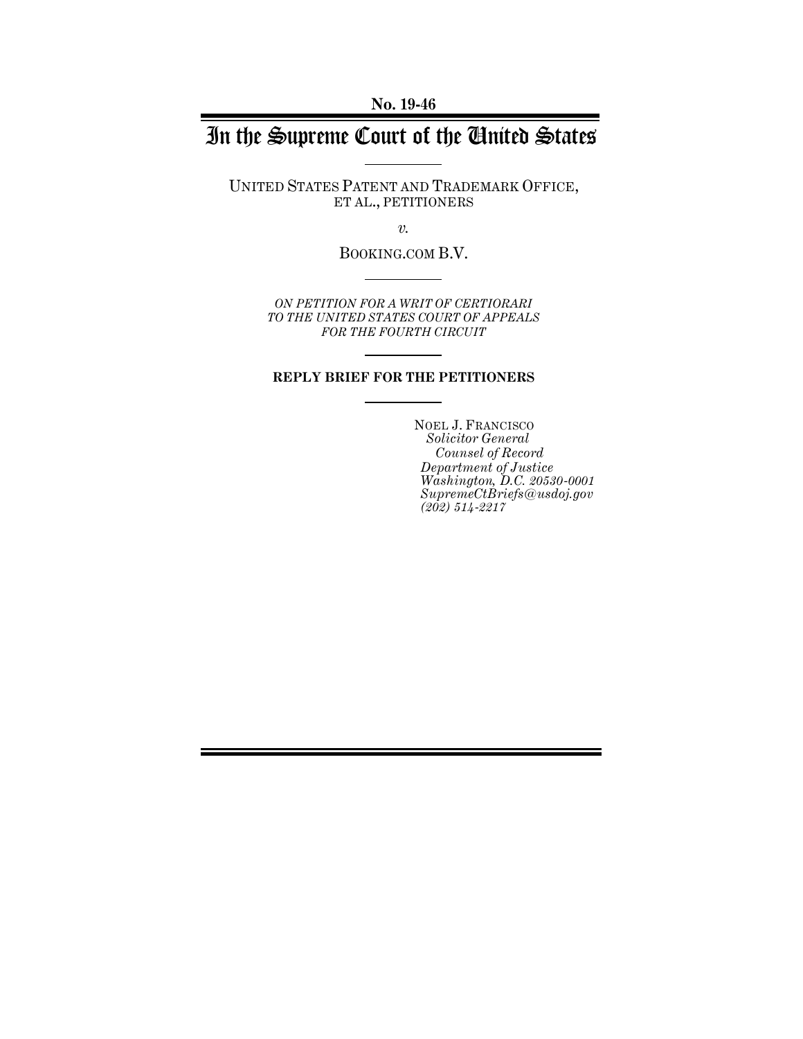**No. 19-46**

# In the Supreme Court of the United States

UNITED STATES PATENT AND TRADEMARK OFFICE, ET AL., PETITIONERS

*v.*

BOOKING.COM B.V.

*ON PETITION FOR A WRIT OF CERTIORARI TO THE UNITED STATES COURT OF APPEALS FOR THE FOURTH CIRCUIT*

### **REPLY BRIEF FOR THE PETITIONERS**

NOEL J. FRANCISCO *Solicitor General Counsel of Record Department of Justice Washington, D.C. 20530-0001 SupremeCtBriefs@usdoj.gov (202) 514-2217*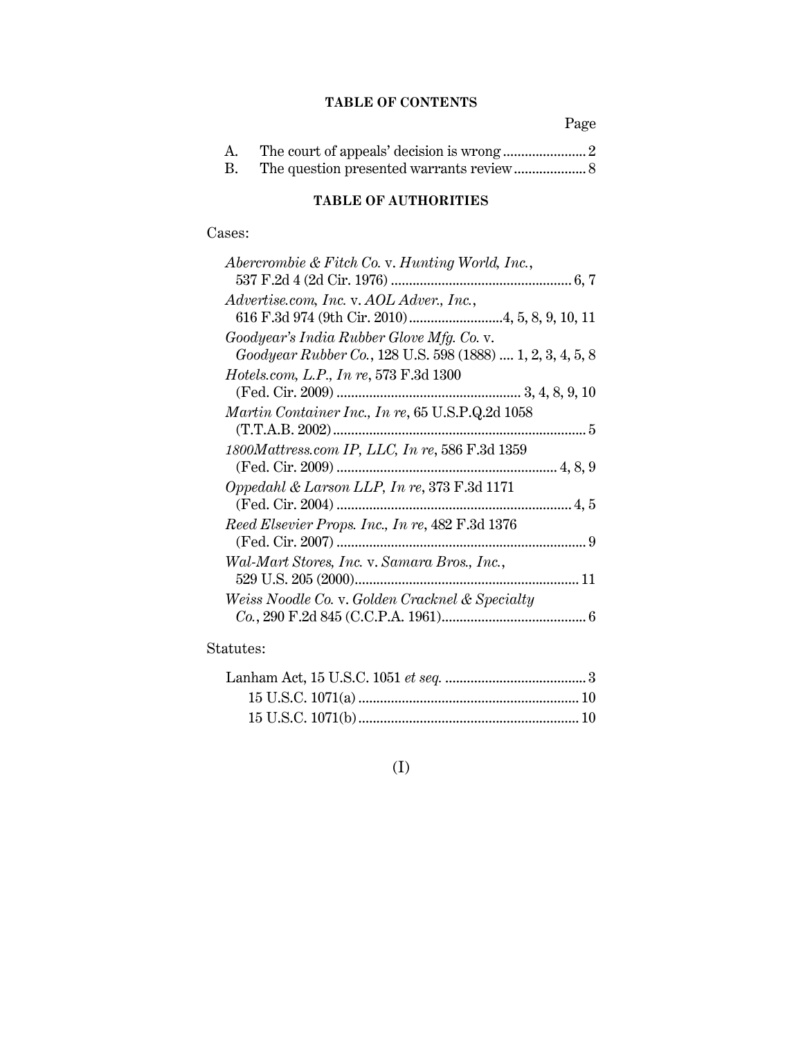## **TABLE OF CONTENTS**

Page

| A.        |  |
|-----------|--|
| <b>B.</b> |  |

## **TABLE OF AUTHORITIES**

## Cases:

| Abercrombie & Fitch Co. v. Hunting World, Inc.,            |
|------------------------------------------------------------|
|                                                            |
| Advertise.com, Inc. v. AOL Adver., Inc.,                   |
|                                                            |
| Goodyear's India Rubber Glove Mfg. Co. v.                  |
| Goodyear Rubber Co., 128 U.S. 598 (1888)  1, 2, 3, 4, 5, 8 |
| <i>Hotels.com, L.P., In re, 573 F.3d 1300</i>              |
|                                                            |
| <i>Martin Container Inc., In re,</i> 65 U.S.P.Q.2d 1058    |
|                                                            |
| 1800Mattress.com IP, LLC, In re, 586 F.3d 1359             |
|                                                            |
| Oppedahl & Larson LLP, In re, 373 F.3d 1171                |
|                                                            |
| Reed Elsevier Props. Inc., In re, 482 F.3d 1376            |
|                                                            |
| Wal-Mart Stores, Inc. v. Samara Bros., Inc.,               |
|                                                            |
| Weiss Noodle Co. v. Golden Cracknel & Specialty            |
|                                                            |
|                                                            |

## Statutes:

## (I)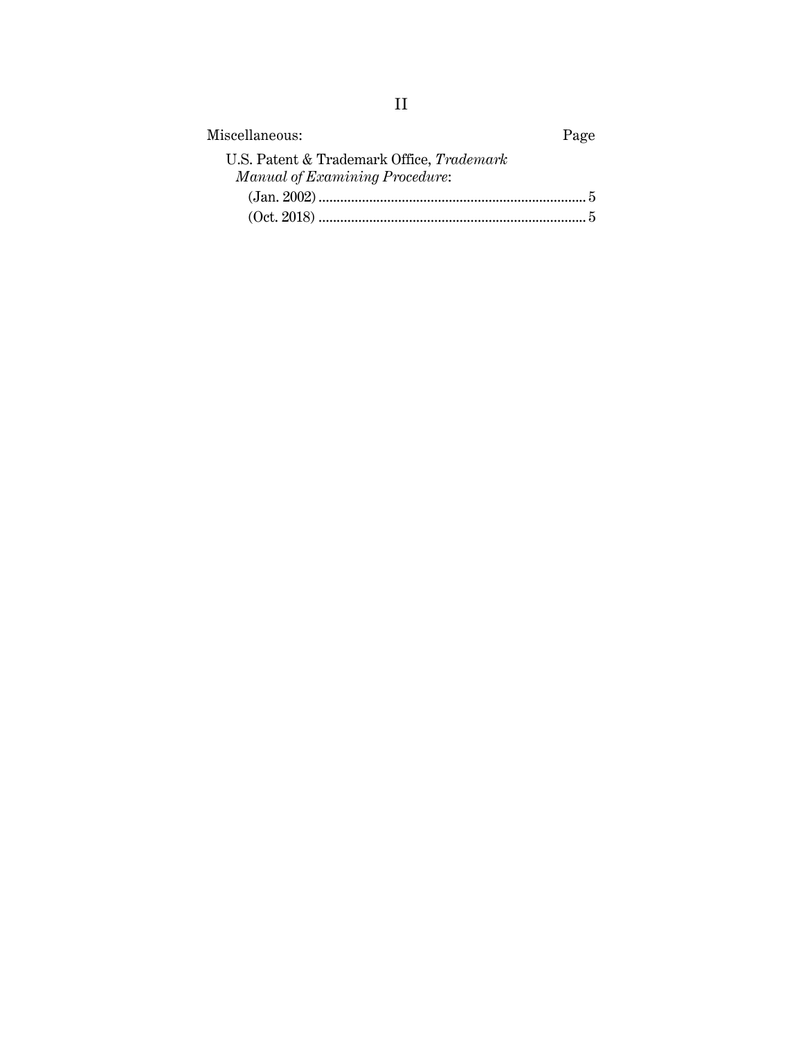| Miscellaneous:                                                              | Page |
|-----------------------------------------------------------------------------|------|
| U.S. Patent & Trademark Office, Trademark<br>Manual of Examining Procedure: |      |
|                                                                             |      |
|                                                                             |      |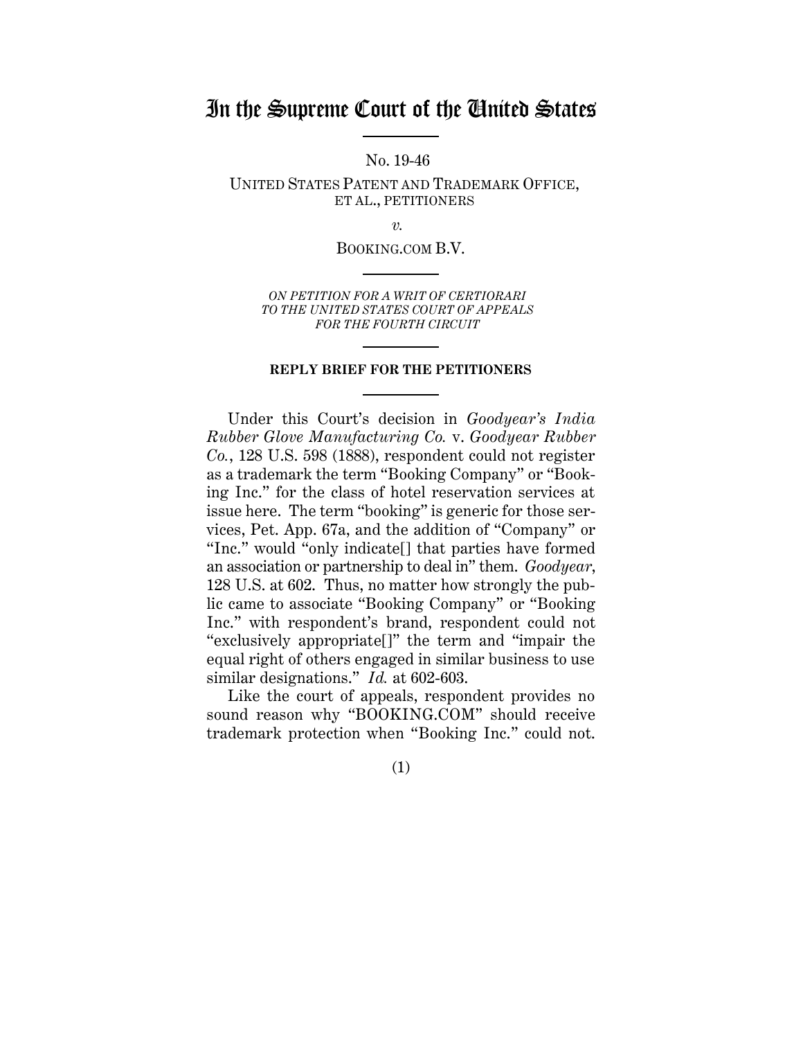## In the Supreme Court of the United States

No. 19-46

UNITED STATES PATENT AND TRADEMARK OFFICE, ET AL., PETITIONERS

*v.*

BOOKING.COM B.V.

*ON PETITION FOR A WRIT OF CERTIORARI TO THE UNITED STATES COURT OF APPEALS FOR THE FOURTH CIRCUIT*

### **REPLY BRIEF FOR THE PETITIONERS**

Under this Court's decision in *Goodyear's India Rubber Glove Manufacturing Co.* v. *Goodyear Rubber Co.*, 128 U.S. 598 (1888), respondent could not register as a trademark the term "Booking Company" or "Booking Inc." for the class of hotel reservation services at issue here. The term "booking" is generic for those services, Pet. App. 67a, and the addition of "Company" or "Inc." would "only indicate[] that parties have formed an association or partnership to deal in" them. *Goodyear*, 128 U.S. at 602. Thus, no matter how strongly the public came to associate "Booking Company" or "Booking Inc." with respondent's brand, respondent could not "exclusively appropriate[]" the term and "impair the equal right of others engaged in similar business to use similar designations." *Id.* at 602-603.

Like the court of appeals, respondent provides no sound reason why "BOOKING.COM" should receive trademark protection when "Booking Inc." could not.

(1)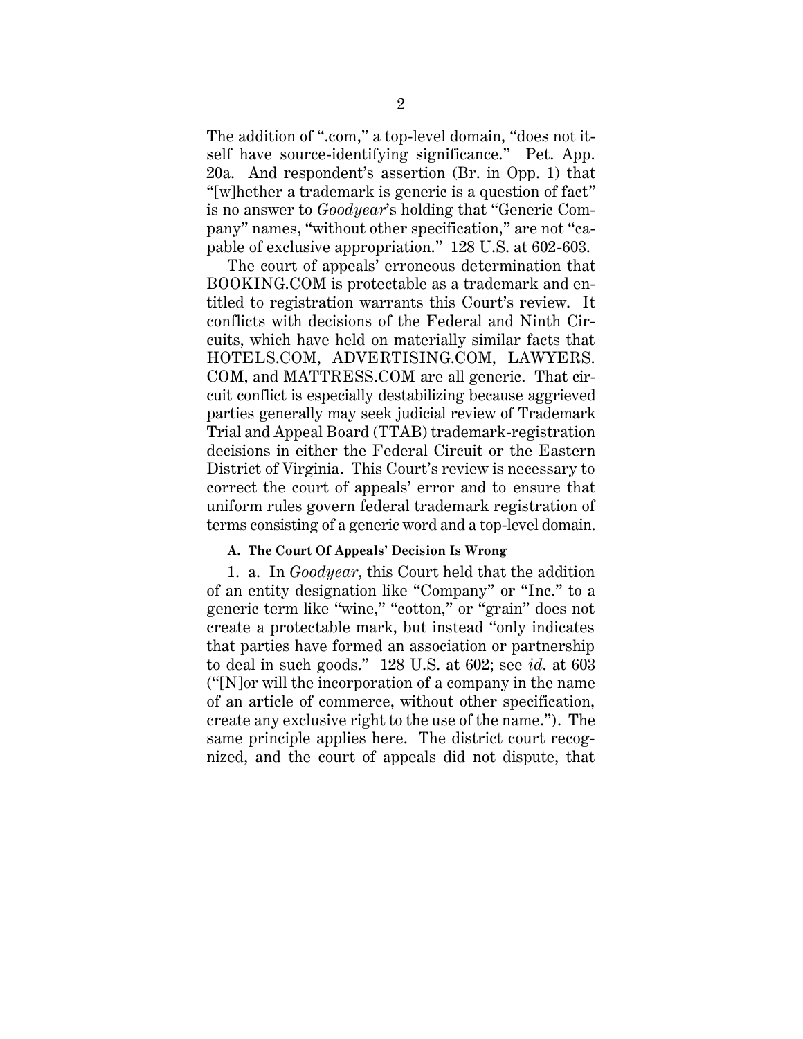The addition of ".com," a top-level domain, "does not itself have source-identifying significance." Pet. App. 20a. And respondent's assertion (Br. in Opp. 1) that "[w]hether a trademark is generic is a question of fact" is no answer to *Goodyear*'s holding that "Generic Company" names, "without other specification," are not "capable of exclusive appropriation." 128 U.S. at 602-603.

The court of appeals' erroneous determination that BOOKING.COM is protectable as a trademark and entitled to registration warrants this Court's review. It conflicts with decisions of the Federal and Ninth Circuits, which have held on materially similar facts that HOTELS.COM, ADVERTISING.COM, LAWYERS. COM, and MATTRESS.COM are all generic. That circuit conflict is especially destabilizing because aggrieved parties generally may seek judicial review of Trademark Trial and Appeal Board (TTAB) trademark-registration decisions in either the Federal Circuit or the Eastern District of Virginia. This Court's review is necessary to correct the court of appeals' error and to ensure that uniform rules govern federal trademark registration of terms consisting of a generic word and a top-level domain.

### **A. The Court Of Appeals' Decision Is Wrong**

1. a. In *Goodyear*, this Court held that the addition of an entity designation like "Company" or "Inc." to a generic term like "wine," "cotton," or "grain" does not create a protectable mark, but instead "only indicates that parties have formed an association or partnership to deal in such goods." 128 U.S. at 602; see *id*. at 603 ("[N]or will the incorporation of a company in the name of an article of commerce, without other specification, create any exclusive right to the use of the name."). The same principle applies here. The district court recognized, and the court of appeals did not dispute, that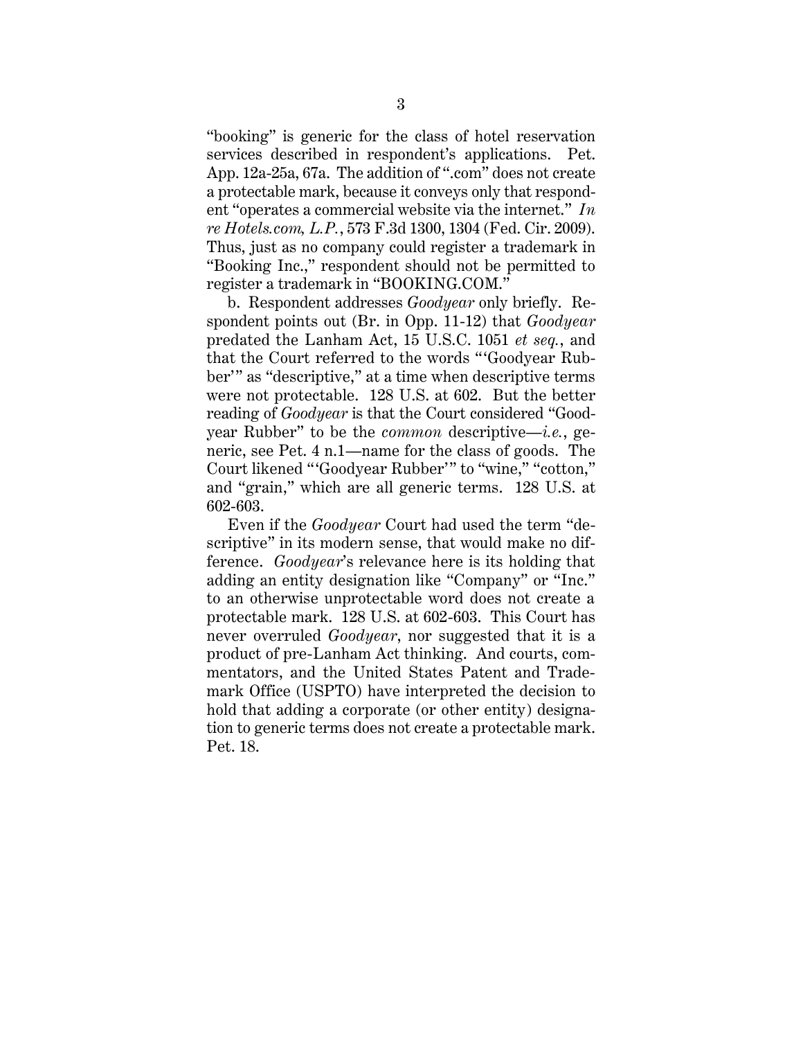"booking" is generic for the class of hotel reservation services described in respondent's applications. Pet. App. 12a-25a, 67a. The addition of ".com" does not create a protectable mark, because it conveys only that respondent "operates a commercial website via the internet." *In re Hotels.com, L.P.*, 573 F.3d 1300, 1304 (Fed. Cir. 2009). Thus, just as no company could register a trademark in "Booking Inc.," respondent should not be permitted to register a trademark in "BOOKING.COM."

b. Respondent addresses *Goodyear* only briefly. Respondent points out (Br. in Opp. 11-12) that *Goodyear* predated the Lanham Act, 15 U.S.C. 1051 *et seq.*, and that the Court referred to the words " 'Goodyear Rubber'" as "descriptive," at a time when descriptive terms were not protectable. 128 U.S. at 602. But the better reading of *Goodyear* is that the Court considered "Goodyear Rubber" to be the *common* descriptive—*i.e.*, generic, see Pet. 4 n.1—name for the class of goods. The Court likened "'Goodyear Rubber'" to "wine," "cotton," and "grain," which are all generic terms. 128 U.S. at 602-603.

Even if the *Goodyear* Court had used the term "descriptive" in its modern sense, that would make no difference. *Goodyear*'s relevance here is its holding that adding an entity designation like "Company" or "Inc." to an otherwise unprotectable word does not create a protectable mark. 128 U.S. at 602-603. This Court has never overruled *Goodyear*, nor suggested that it is a product of pre-Lanham Act thinking. And courts, commentators, and the United States Patent and Trademark Office (USPTO) have interpreted the decision to hold that adding a corporate (or other entity) designation to generic terms does not create a protectable mark. Pet. 18.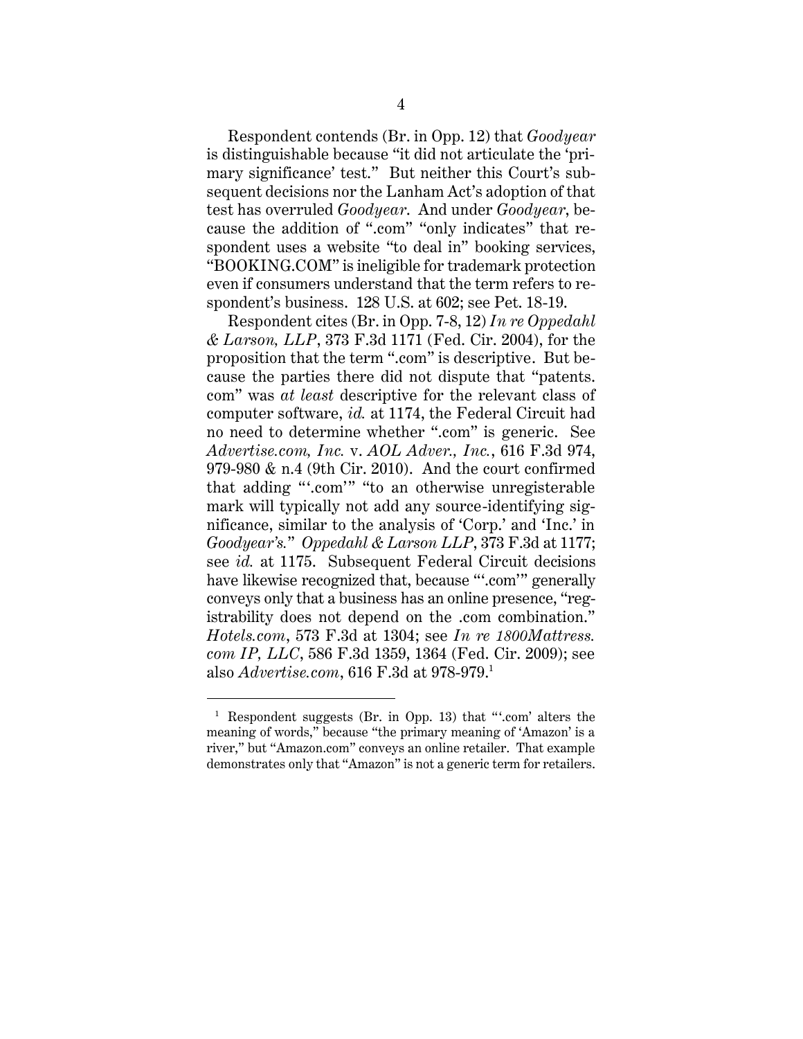Respondent contends (Br. in Opp. 12) that *Goodyear* is distinguishable because "it did not articulate the 'primary significance' test." But neither this Court's subsequent decisions nor the Lanham Act's adoption of that test has overruled *Goodyear*. And under *Goodyear*, because the addition of ".com" "only indicates" that respondent uses a website "to deal in" booking services, "BOOKING.COM" is ineligible for trademark protection even if consumers understand that the term refers to respondent's business. 128 U.S. at 602; see Pet. 18-19.

Respondent cites (Br. in Opp. 7-8, 12) *In re Oppedahl & Larson, LLP*, 373 F.3d 1171 (Fed. Cir. 2004), for the proposition that the term ".com" is descriptive. But because the parties there did not dispute that "patents. com" was *at least* descriptive for the relevant class of computer software, *id.* at 1174, the Federal Circuit had no need to determine whether ".com" is generic. See *Advertise.com, Inc.* v. *AOL Adver., Inc.*, 616 F.3d 974, 979-980 & n.4 (9th Cir. 2010). And the court confirmed that adding "'.com'" "to an otherwise unregisterable mark will typically not add any source-identifying significance, similar to the analysis of 'Corp.' and 'Inc.' in *Goodyear's.*" *Oppedahl & Larson LLP*, 373 F.3d at 1177; see *id.* at 1175. Subsequent Federal Circuit decisions have likewise recognized that, because "".com" generally conveys only that a business has an online presence, "registrability does not depend on the .com combination." *Hotels.com*, 573 F.3d at 1304; see *In re 1800Mattress. com IP, LLC*, 586 F.3d 1359, 1364 (Fed. Cir. 2009); see also *Advertise.com*, 616 F.3d at 978-979.<sup>1</sup>

<sup>&</sup>lt;sup>1</sup> Respondent suggests (Br. in Opp. 13) that "'.com' alters the meaning of words," because "the primary meaning of 'Amazon' is a river," but "Amazon.com" conveys an online retailer. That example demonstrates only that "Amazon" is not a generic term for retailers.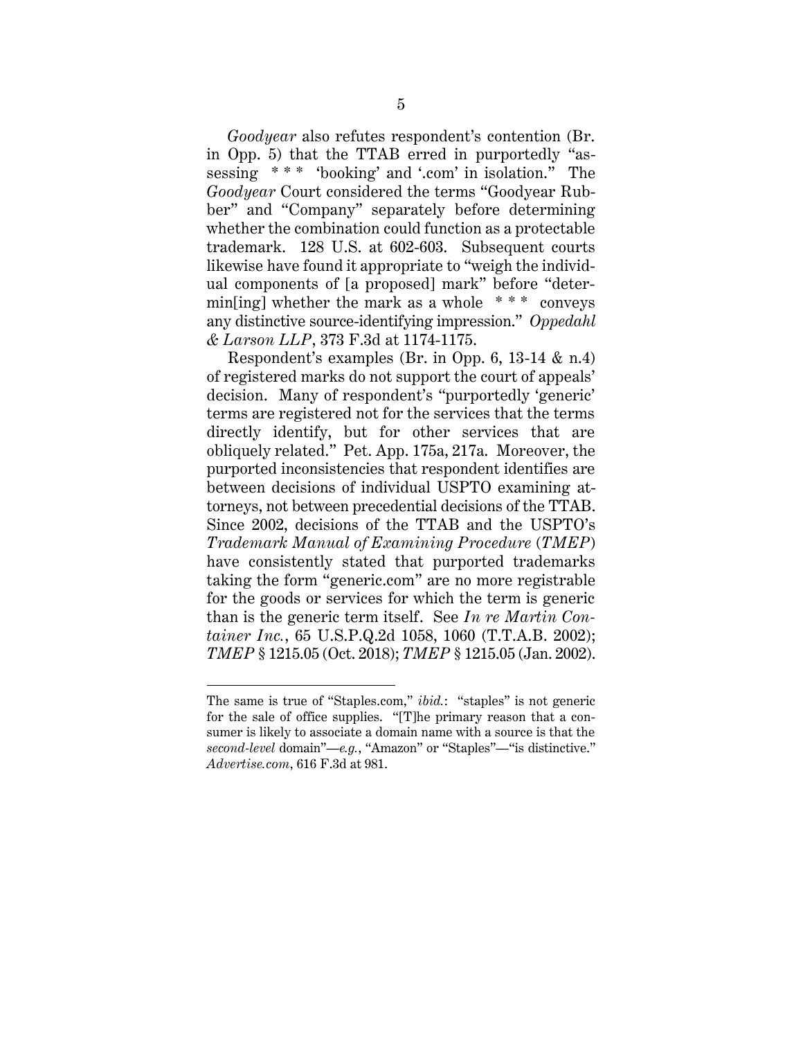*Goodyear* also refutes respondent's contention (Br. in Opp. 5) that the TTAB erred in purportedly "assessing \* \* \* 'booking' and '.com' in isolation." The *Goodyear* Court considered the terms "Goodyear Rubber" and "Company" separately before determining whether the combination could function as a protectable trademark. 128 U.S. at 602-603. Subsequent courts likewise have found it appropriate to "weigh the individual components of [a proposed] mark" before "determin[ing] whether the mark as a whole  $***$  conveys any distinctive source-identifying impression." *Oppedahl & Larson LLP*, 373 F.3d at 1174-1175.

Respondent's examples (Br. in Opp. 6, 13-14 & n.4) of registered marks do not support the court of appeals' decision. Many of respondent's "purportedly 'generic' terms are registered not for the services that the terms directly identify, but for other services that are obliquely related." Pet. App. 175a, 217a. Moreover, the purported inconsistencies that respondent identifies are between decisions of individual USPTO examining attorneys, not between precedential decisions of the TTAB. Since 2002, decisions of the TTAB and the USPTO's *Trademark Manual of Examining Procedure* (*TMEP*) have consistently stated that purported trademarks taking the form "generic.com" are no more registrable for the goods or services for which the term is generic than is the generic term itself. See *In re Martin Container Inc.*, 65 U.S.P.Q.2d 1058, 1060 (T.T.A.B. 2002); *TMEP* § 1215.05 (Oct. 2018); *TMEP* § 1215.05 (Jan. 2002).

The same is true of "Staples.com," *ibid.*: "staples" is not generic for the sale of office supplies. "[T]he primary reason that a consumer is likely to associate a domain name with a source is that the *second-level* domain"—*e.g.*, "Amazon" or "Staples"—"is distinctive." *Advertise.com*, 616 F.3d at 981.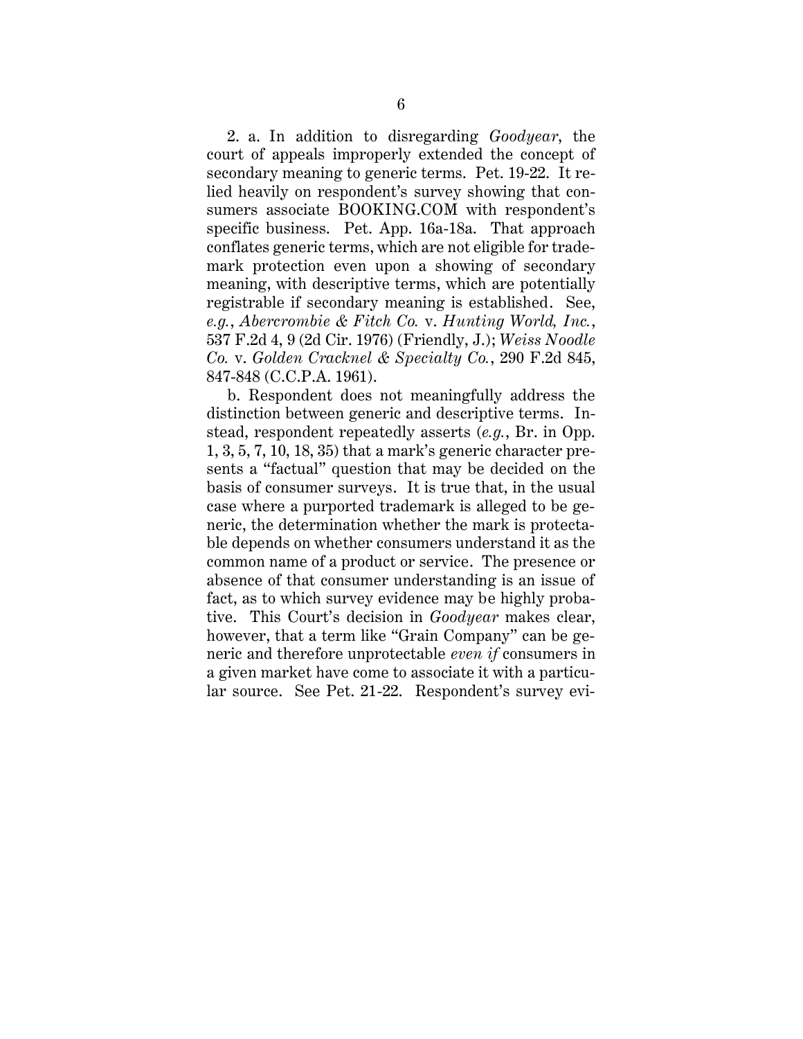2. a. In addition to disregarding *Goodyear*, the court of appeals improperly extended the concept of secondary meaning to generic terms. Pet. 19-22. It relied heavily on respondent's survey showing that consumers associate BOOKING.COM with respondent's specific business. Pet. App. 16a-18a. That approach conflates generic terms, which are not eligible for trademark protection even upon a showing of secondary meaning, with descriptive terms, which are potentially registrable if secondary meaning is established. See, *e.g.*, *Abercrombie & Fitch Co.* v. *Hunting World, Inc.*, 537 F.2d 4, 9 (2d Cir. 1976) (Friendly, J.); *Weiss Noodle Co.* v. *Golden Cracknel & Specialty Co.*, 290 F.2d 845, 847-848 (C.C.P.A. 1961).

b. Respondent does not meaningfully address the distinction between generic and descriptive terms. Instead, respondent repeatedly asserts (*e.g.*, Br. in Opp. 1, 3, 5, 7, 10, 18, 35) that a mark's generic character presents a "factual" question that may be decided on the basis of consumer surveys. It is true that, in the usual case where a purported trademark is alleged to be generic, the determination whether the mark is protectable depends on whether consumers understand it as the common name of a product or service. The presence or absence of that consumer understanding is an issue of fact, as to which survey evidence may be highly probative. This Court's decision in *Goodyear* makes clear, however, that a term like "Grain Company" can be generic and therefore unprotectable *even if* consumers in a given market have come to associate it with a particular source. See Pet. 21-22. Respondent's survey evi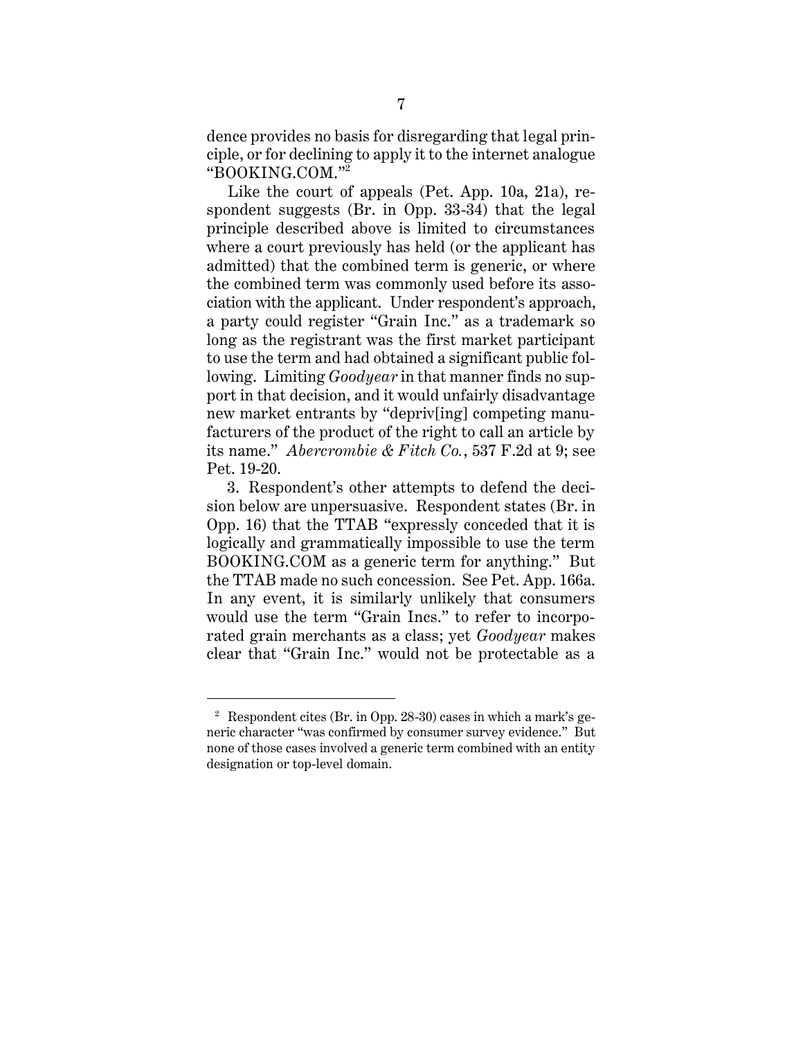dence provides no basis for disregarding that legal principle, or for declining to apply it to the internet analogue "BOOKING.COM."<sup>2</sup>

Like the court of appeals (Pet. App. 10a, 21a), respondent suggests (Br. in Opp. 33-34) that the legal principle described above is limited to circumstances where a court previously has held (or the applicant has admitted) that the combined term is generic, or where the combined term was commonly used before its association with the applicant. Under respondent's approach, a party could register "Grain Inc." as a trademark so long as the registrant was the first market participant to use the term and had obtained a significant public following. Limiting *Goodyear* in that manner finds no support in that decision, and it would unfairly disadvantage new market entrants by "depriv[ing] competing manufacturers of the product of the right to call an article by its name." *Abercrombie & Fitch Co.*, 537 F.2d at 9; see Pet. 19-20.

3. Respondent's other attempts to defend the decision below are unpersuasive. Respondent states (Br. in Opp. 16) that the TTAB "expressly conceded that it is logically and grammatically impossible to use the term BOOKING.COM as a generic term for anything." But the TTAB made no such concession. See Pet. App. 166a. In any event, it is similarly unlikely that consumers would use the term "Grain Incs." to refer to incorporated grain merchants as a class; yet *Goodyear* makes clear that "Grain Inc." would not be protectable as a

<sup>&</sup>lt;sup>2</sup> Respondent cites (Br. in Opp. 28-30) cases in which a mark's generic character "was confirmed by consumer survey evidence." But none of those cases involved a generic term combined with an entity designation or top-level domain.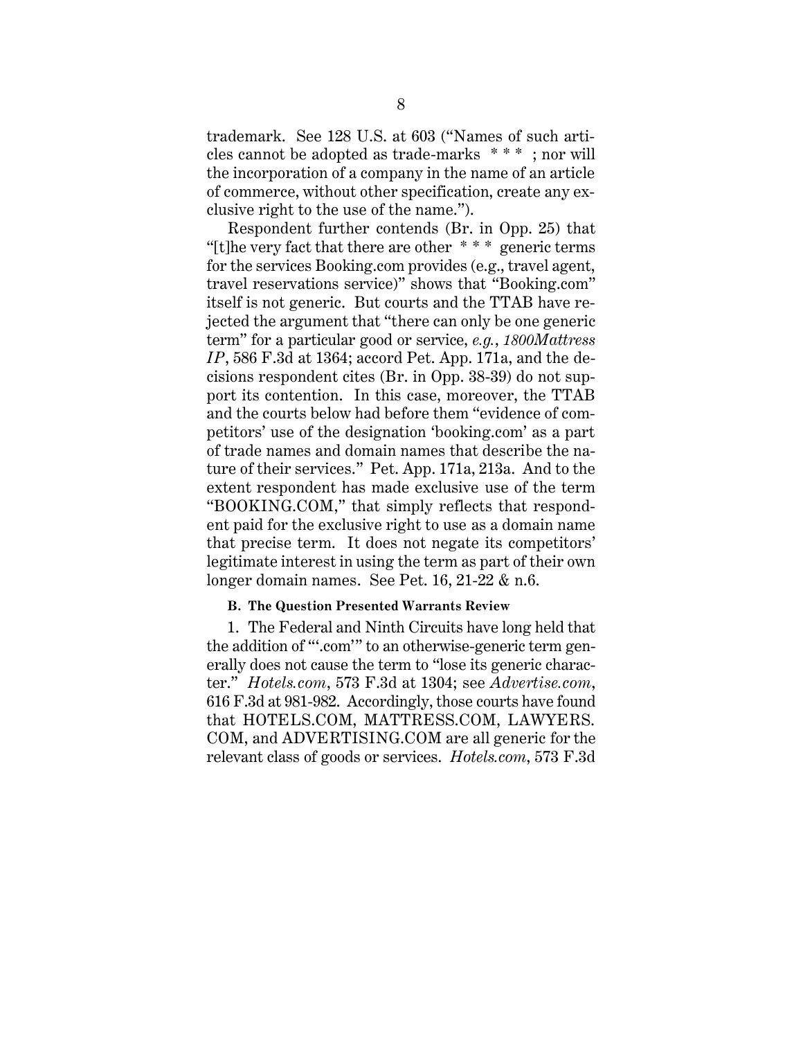trademark. See 128 U.S. at 603 ("Names of such articles cannot be adopted as trade-marks \* \* \* ; nor will the incorporation of a company in the name of an article of commerce, without other specification, create any exclusive right to the use of the name.").

Respondent further contends (Br. in Opp. 25) that "[t]he very fact that there are other  $***$  generic terms" for the services Booking.com provides (e.g., travel agent, travel reservations service)" shows that "Booking.com" itself is not generic. But courts and the TTAB have rejected the argument that "there can only be one generic term" for a particular good or service, *e.g.*, *1800Mattress IP*, 586 F.3d at 1364; accord Pet. App. 171a, and the decisions respondent cites (Br. in Opp. 38-39) do not support its contention. In this case, moreover, the TTAB and the courts below had before them "evidence of competitors' use of the designation 'booking.com' as a part of trade names and domain names that describe the nature of their services." Pet. App. 171a, 213a. And to the extent respondent has made exclusive use of the term "BOOKING.COM," that simply reflects that respondent paid for the exclusive right to use as a domain name that precise term. It does not negate its competitors' legitimate interest in using the term as part of their own longer domain names. See Pet. 16, 21-22 & n.6.

### **B. The Question Presented Warrants Review**

1. The Federal and Ninth Circuits have long held that the addition of "'.com'" to an otherwise-generic term generally does not cause the term to "lose its generic character." *Hotels.com*, 573 F.3d at 1304; see *Advertise.com*, 616 F.3d at 981-982. Accordingly, those courts have found that HOTELS.COM, MATTRESS.COM, LAWYERS. COM, and ADVERTISING.COM are all generic for the relevant class of goods or services. *Hotels.com*, 573 F.3d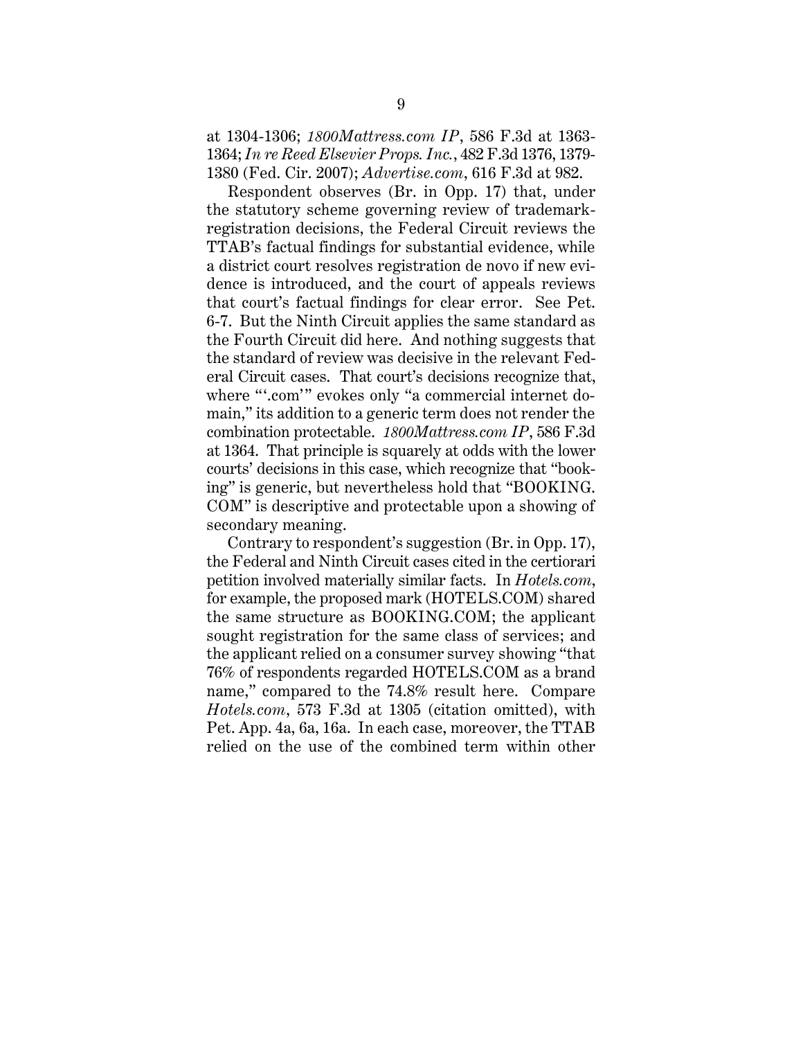at 1304-1306; *1800Mattress.com IP*, 586 F.3d at 1363- 1364; *In re Reed Elsevier Props. Inc.*, 482 F.3d 1376, 1379- 1380 (Fed. Cir. 2007); *Advertise.com*, 616 F.3d at 982.

Respondent observes (Br. in Opp. 17) that, under the statutory scheme governing review of trademarkregistration decisions, the Federal Circuit reviews the TTAB's factual findings for substantial evidence, while a district court resolves registration de novo if new evidence is introduced, and the court of appeals reviews that court's factual findings for clear error. See Pet. 6-7. But the Ninth Circuit applies the same standard as the Fourth Circuit did here. And nothing suggests that the standard of review was decisive in the relevant Federal Circuit cases. That court's decisions recognize that, where "'.com'" evokes only "a commercial internet domain," its addition to a generic term does not render the combination protectable. *1800Mattress.com IP*, 586 F.3d at 1364. That principle is squarely at odds with the lower courts' decisions in this case, which recognize that "booking" is generic, but nevertheless hold that "BOOKING. COM" is descriptive and protectable upon a showing of secondary meaning.

Contrary to respondent's suggestion (Br. in Opp. 17), the Federal and Ninth Circuit cases cited in the certiorari petition involved materially similar facts. In *Hotels.com*, for example, the proposed mark (HOTELS.COM) shared the same structure as BOOKING.COM; the applicant sought registration for the same class of services; and the applicant relied on a consumer survey showing "that 76% of respondents regarded HOTELS.COM as a brand name," compared to the 74.8% result here. Compare *Hotels.com*, 573 F.3d at 1305 (citation omitted), with Pet. App. 4a, 6a, 16a. In each case, moreover, the TTAB relied on the use of the combined term within other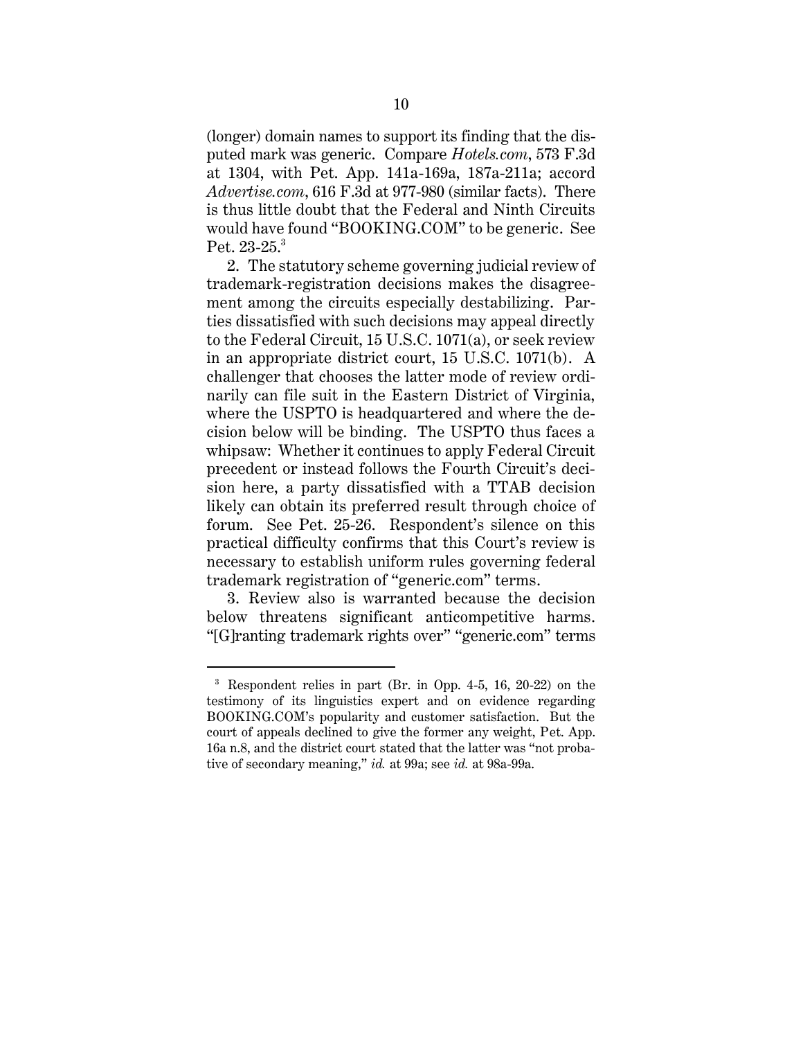(longer) domain names to support its finding that the disputed mark was generic. Compare *Hotels.com*, 573 F.3d at 1304, with Pet. App. 141a-169a, 187a-211a; accord *Advertise.com*, 616 F.3d at 977-980 (similar facts). There is thus little doubt that the Federal and Ninth Circuits would have found "BOOKING.COM" to be generic. See Pet. 23-25.<sup>3</sup>

2. The statutory scheme governing judicial review of trademark-registration decisions makes the disagreement among the circuits especially destabilizing. Parties dissatisfied with such decisions may appeal directly to the Federal Circuit, 15 U.S.C. 1071(a), or seek review in an appropriate district court, 15 U.S.C. 1071(b). A challenger that chooses the latter mode of review ordinarily can file suit in the Eastern District of Virginia, where the USPTO is headquartered and where the decision below will be binding. The USPTO thus faces a whipsaw: Whether it continues to apply Federal Circuit precedent or instead follows the Fourth Circuit's decision here, a party dissatisfied with a TTAB decision likely can obtain its preferred result through choice of forum. See Pet. 25-26. Respondent's silence on this practical difficulty confirms that this Court's review is necessary to establish uniform rules governing federal trademark registration of "generic.com" terms.

3. Review also is warranted because the decision below threatens significant anticompetitive harms. "[G]ranting trademark rights over" "generic.com" terms

<sup>3</sup> Respondent relies in part (Br. in Opp. 4-5, 16, 20-22) on the testimony of its linguistics expert and on evidence regarding BOOKING.COM's popularity and customer satisfaction. But the court of appeals declined to give the former any weight, Pet. App. 16a n.8, and the district court stated that the latter was "not probative of secondary meaning," *id.* at 99a; see *id.* at 98a-99a.